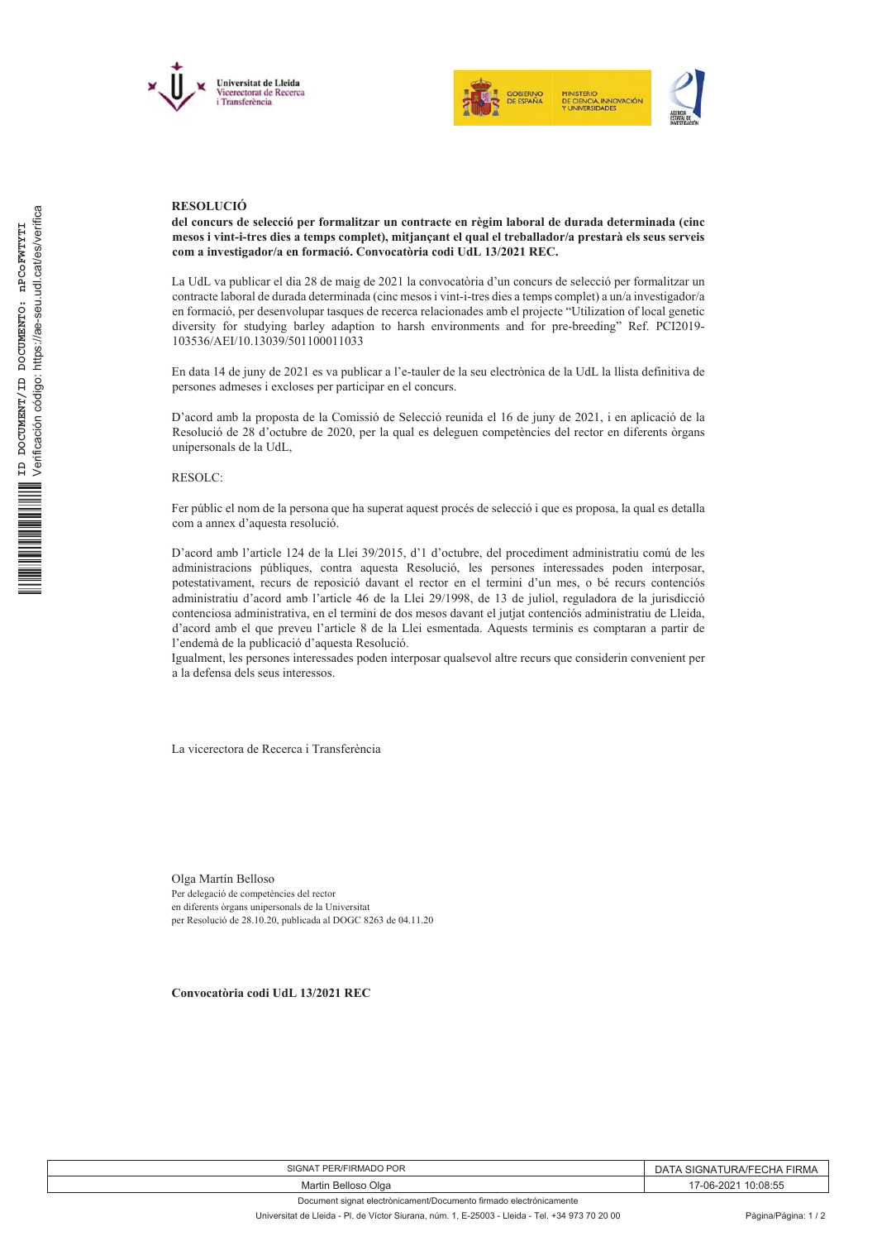



## **RESOLUCIÓ**

del concurs de selecció per formalitzar un contracte en règim laboral de durada determinada (cinc mesos i vint-i-tres dies a temps complet), mitjançant el qual el treballador/a prestarà els seus serveis com a investigador/a en formació. Convocatòria codi UdL 13/2021 REC.

La UdL va publicar el dia 28 de maig de 2021 la convocatòria d'un concurs de selecció per formalitzar un contracte laboral de durada determinada (cinc mesos i vint-i-tres dies a temps complet) a un/a investigador/a en formació, per desenvolupar tasques de recerca relacionades amb el projecte "Utilization of local genetic diversity for studying barley adaption to harsh environments and for pre-breeding" Ref. PCI2019-103536/AEI/10.13039/501100011033

En data 14 de juny de 2021 es va publicar a l'e-tauler de la seu electrònica de la UdL la llista definitiva de persones admeses i excloses per participar en el concurs.

D'acord amb la proposta de la Comissió de Selecció reunida el 16 de juny de 2021, i en aplicació de la Resolució de 28 d'octubre de 2020, per la qual es deleguen competències del rector en diferents òrgans unipersonals de la UdL.

**RESOLC:** 

Fer públic el nom de la persona que ha superat aquest procés de selecció i que es proposa, la qual es detalla com a annex d'aquesta resolució.

D'acord amb l'article 124 de la Llei 39/2015, d'1 d'octubre, del procediment administratiu comú de les administracions públiques, contra aquesta Resolució, les persones interessades poden interposar, potestativament, recurs de reposició davant el rector en el termini d'un mes, o bé recurs contenciós administratiu d'acord amb l'article 46 de la Llei 29/1998, de 13 de juliol, reguladora de la jurisdicció contenciosa administrativa, en el termini de dos mesos davant el jutjat contenciós administratiu de Lleida, d'acord amb el que preveu l'article 8 de la Llei esmentada. Aquests terminis es comptaran a partir de l'endemà de la publicació d'aquesta Resolució.

Igualment, les persones interessades poden interposar qualsevol altre recurs que considerin convenient per a la defensa dels seus interessos.

La vicerectora de Recerca i Transferència

Olga Martín Belloso Per delegació de competències del rector en diferents òrgans unipersonals de la Universitat per Resolució de 28.10.20, publicada al DOGC 8263 de 04.11.20

Convocatòria codi UdL 13/2021 REC

| <b>PER/FIRMADO POR</b><br>iNA | ∶CHA<br><b>FIRMA</b><br>URA/FF<br>SIGNA<br>$\mathsf{A}$ |
|-------------------------------|---------------------------------------------------------|
| Olga<br>Belloso<br>∍Martin    | 0:08:55<br>-06-202                                      |